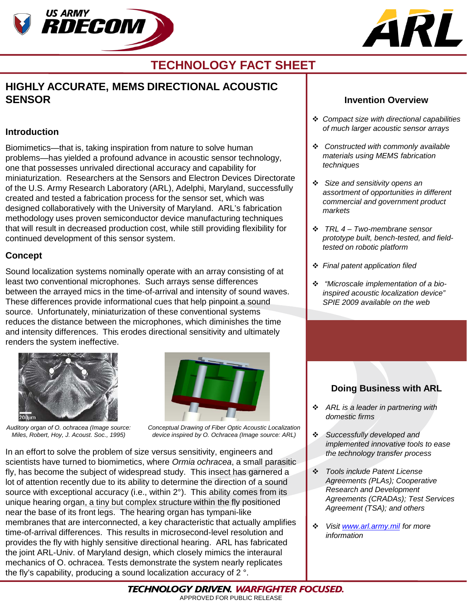



# **TECHNOLOGY FACT SHEET**

# **HIGHLY ACCURATE, MEMS DIRECTIONAL ACOUSTIC SENSOR**

#### **Introduction**

Biomimetics—that is, taking inspiration from nature to solve human problems—has yielded a profound advance in acoustic sensor technology, one that possesses unrivaled directional accuracy and capability for miniaturization. Researchers at the Sensors and Electron Devices Directorate of the U.S. Army Research Laboratory (ARL), Adelphi, Maryland, successfully created and tested a fabrication process for the sensor set, which was designed collaboratively with the University of Maryland. ARL's fabrication methodology uses proven semiconductor device manufacturing techniques that will result in decreased production cost, while still providing flexibility for continued development of this sensor system.

#### **Concept**

Sound localization systems nominally operate with an array consisting of at least two conventional microphones. Such arrays sense differences between the arrayed mics in the time-of-arrival and intensity of sound waves. These differences provide informational cues that help pinpoint a sound source. Unfortunately, miniaturization of these conventional systems reduces the distance between the microphones, which diminishes the time and intensity differences. This erodes directional sensitivity and ultimately renders the system ineffective.



*Auditory organ of O. ochracea (Image source: Miles, Robert, Hoy, J. Acoust. Soc., 1995)*



*Conceptual Drawing of Fiber Optic Acoustic Localization device inspired by O. Ochracea (Image source: ARL)*

In an effort to solve the problem of size versus sensitivity, engineers and scientists have turned to biomimetics, where *Ormia ochracea*, a small parasitic fly, has become the subject of widespread study. This insect has garnered a lot of attention recently due to its ability to determine the direction of a sound source with exceptional accuracy (i.e., within 2°). This ability comes from its unique hearing organ, a tiny but complex structure within the fly positioned near the base of its front legs. The hearing organ has tympani-like membranes that are interconnected, a key characteristic that actually amplifies time-of-arrival differences. This results in microsecond-level resolution and provides the fly with highly sensitive directional hearing. ARL has fabricated the joint ARL-Univ. of Maryland design, which closely mimics the interaural mechanics of O. ochracea. Tests demonstrate the system nearly replicates the fly's capability, producing a sound localization accuracy of 2 °.

### **Invention Overview**

- *Compact size with directional capabilities of much larger acoustic sensor arrays*
- *Constructed with commonly available materials using MEMS fabrication techniques*
- *Size and sensitivity opens an assortment of opportunities in different commercial and government product markets*
- *TRL 4 – Two-membrane sensor prototype built, bench-tested, and fieldtested on robotic platform*
- *Final patent application filed*
- *"Microscale implementation of a bioinspired acoustic localization device" SPIE 2009 available on the web*

### **Doing Business with ARL**

- *ARL is a leader in partnering with domestic firms*
- *Successfully developed and implemented innovative tools to ease the technology transfer process*
- *Tools include Patent License Agreements (PLAs); Cooperative Research and Development Agreements (CRADAs); Test Services Agreement (TSA); and others*
- *Visit [www.arl.army.mil](http://www.arl.army.mil/) for more information*